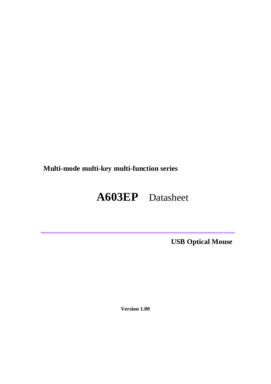**Multi-mode multi-key multi-function series** 

# **A603EP** Datasheet

**USB Optical Mouse**

**Version 1.00**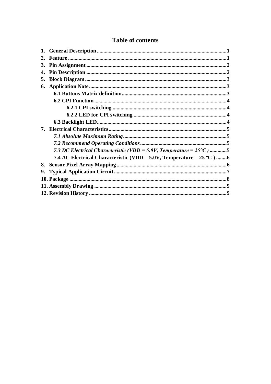| 2. |                                                                                 |  |
|----|---------------------------------------------------------------------------------|--|
| 3. |                                                                                 |  |
| 4. |                                                                                 |  |
| 5. |                                                                                 |  |
| 6. |                                                                                 |  |
|    |                                                                                 |  |
|    |                                                                                 |  |
|    |                                                                                 |  |
|    |                                                                                 |  |
|    |                                                                                 |  |
|    |                                                                                 |  |
|    |                                                                                 |  |
|    |                                                                                 |  |
|    | 7.3 DC Electrical Characteristic (VDD = 5.0V, Temperature = $25^{\circ}$ C) 5   |  |
|    | 7.4 AC Electrical Characteristic (VDD = 5.0V, Temperature = $25 \text{ °C}$ ) 6 |  |
| 8. |                                                                                 |  |
| 9. |                                                                                 |  |
|    |                                                                                 |  |
|    |                                                                                 |  |
|    |                                                                                 |  |
|    |                                                                                 |  |

# **Table of contents**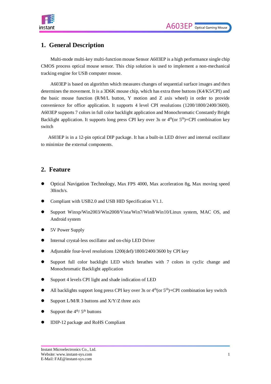

### <span id="page-2-0"></span>**1. General Description**

Multi-mode multi-key multi-function mouse Sensor A603EP is a high performance single chip CMOS process optical mouse sensor. This chip solution is used to implement a non-mechanical tracking engine for USB computer mouse.

A603EP is based on algorithm which measures changes of sequential surface images and then determines the movement. It is a 3D6K mouse chip, which has extra three buttons (K4/K5/CPI) and the basic mouse function (R/M/L button, Y motion and Z axis wheel) in order to provide convenience for office application. It supports 4 level CPI resolutions (1200/1800/2400/3600). A603EP supports 7 colors in full color backlight application and Monochromatic Constantly Bright Backlight application. It supports long press CPI key over 3s or  $4<sup>th</sup>(or 5<sup>th</sup>)+$ CPI combination keyswitch

A603EP is in a 12-pin optical DIP package. It has a built-in LED driver and internal oscillator to minimize the external components.

### <span id="page-2-1"></span>**2. Feature**

- Optical Navigation Technology, Max FPS 4000, Max acceleration 8g, Max moving speed 30inch/s.
- Compliant with USB2.0 and USB HID Specification V1.1.
- Support Winxp/Win2003/Win2008/Vista/Win7/Win8/Win10/Linux system, MAC OS, and Android system
- 5V Power Supply
- Internal crystal-less oscillator and on-chip LED Driver
- Adjustable four-level resolutions 1200(def)/1800/2400/3600 by CPI key
- Support full color backlight LED which breathes with 7 colors in cyclic change and Monochromatic Backlight application
- Support 4 levels CPI light and shade indication of LED
- All backlights support long press CPI key over 3s or  $4<sup>th</sup>(or 5<sup>th</sup>)+CPI$  combination key switch
- $\bullet$  Support L/M/R 3 buttons and X/Y/Z three axis
- Support the  $4<sup>th</sup>/5<sup>th</sup>$  buttons
- IDIP-12 package and RoHS Compliant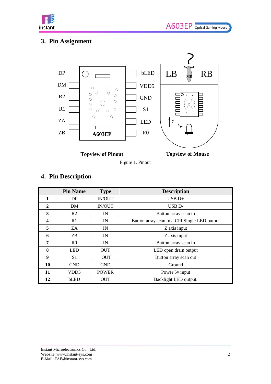

# <span id="page-3-0"></span>**3. Pin Assignment**



**Topview of Pinout**

**Topview of Mouse**

Figure 1. Pinout

# <span id="page-3-1"></span>**4. Pin Description**

|              | <b>Pin Name</b>  | <b>Type</b>  | <b>Description</b>                          |
|--------------|------------------|--------------|---------------------------------------------|
| 1            | DP.              | IN/OUT       | $USB D+$                                    |
| $\mathbf{2}$ | <b>DM</b>        | IN/OUT       | USB <sub>D</sub> -                          |
| 3            | R <sub>2</sub>   | IN           | Button array scan in                        |
| 4            | R1               | IN           | Button array scan in, CPI Single LED output |
| 5            | ZA.              | IN           | Z axis input                                |
| 6            | ZB               | IN           | Z axis input                                |
| 7            | R <sub>0</sub>   | IN           | Button array scan in                        |
| 8            | <b>LED</b>       | <b>OUT</b>   | LED open drain output                       |
| 9            | S <sub>1</sub>   | <b>OUT</b>   | Button array scan out                       |
| 10           | <b>GND</b>       | <b>GND</b>   | Ground                                      |
| 11           | VDD <sub>5</sub> | <b>POWER</b> | Power 5y input                              |
| 12           | bLED             | <b>OUT</b>   | Backlight LED output.                       |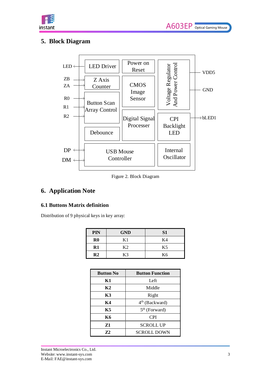

### <span id="page-4-0"></span>**5. Block Diagram**



Figure 2. Block Diagram

### <span id="page-4-1"></span>**6. Application Note**

#### <span id="page-4-2"></span>**6.1 Buttons Matrix definition**

Distribution of 9 physical keys in key array:

| PIN           | <b>GND</b> | S <sub>1</sub> |
|---------------|------------|----------------|
| $\bf R0$      | K 1        | K4             |
| R1            | K?         | K5             |
| $\mathbf{R}2$ | K3         | K6             |

| <b>Button No</b> | <b>Button Function</b>     |  |  |  |  |
|------------------|----------------------------|--|--|--|--|
| K1               | Left                       |  |  |  |  |
| K2               | Middle                     |  |  |  |  |
| K3               | Right                      |  |  |  |  |
| К4               | 4 <sup>th</sup> (Backward) |  |  |  |  |
| К5               | $5th$ (Forward)            |  |  |  |  |
| К6               | <b>CPI</b>                 |  |  |  |  |
| 71               | <b>SCROLL UP</b>           |  |  |  |  |
| 72               | <b>SCROLL DOWN</b>         |  |  |  |  |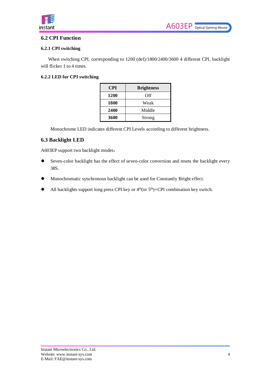

#### <span id="page-5-0"></span>**6.2 CPI Function**

#### <span id="page-5-1"></span>**6.2.1 CPI switching**

When switching CPI, corresponding to 1200 (def)/1800/2400/3600 4 different CPI, backlight will flicker 1 to 4 times.

#### <span id="page-5-2"></span>**6.2.2 LED for CPI switching**

| <b>CPI</b> | <b>Brightness</b> |  |  |  |  |  |
|------------|-------------------|--|--|--|--|--|
| 1200       | Off               |  |  |  |  |  |
| 1800       | Weak              |  |  |  |  |  |
| 2400       | Middle            |  |  |  |  |  |
| 3600       | Strong            |  |  |  |  |  |

Monochrome LED indicates different CPI Levels according to different brightness.

#### <span id="page-5-3"></span>**6.3 Backlight LED**

A603EP support two backlight modes:

- Seven-color backlight has the effect of seven-color conversion and resets the backlight every 38S.
- Monochromatic synchronous backlight can be used for Constantly Bright effect.
- $\bullet$  All backlights support long press CPI key or  $4<sup>th</sup>$ (or  $5<sup>th</sup>$ )+CPI combination key switch.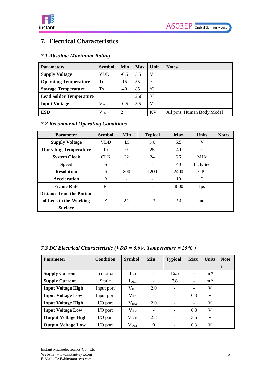

# <span id="page-6-0"></span>**7. Electrical Characteristics**

### <span id="page-6-1"></span>*7.1 Absolute Maximum Rating*

| <b>Parameters</b>              | <b>Symbol</b>         | Min            | <b>Max</b> | Unit        | <b>Notes</b>               |
|--------------------------------|-----------------------|----------------|------------|-------------|----------------------------|
| <b>Supply Voltage</b>          | VDD                   | $-0.5$         | 5.5        | V           |                            |
| <b>Operating Temperature</b>   | To                    | $-15$          | 55         | $\rm ^{o}C$ |                            |
| <b>Storage Temperature</b>     | <b>T</b> <sub>S</sub> | $-40$          | 85         | $\rm ^{o}C$ |                            |
| <b>Lead Solder Temperature</b> |                       |                | 260        | $\rm ^{o}C$ |                            |
| <b>Input Voltage</b>           | $\rm V_{in}$          | $-0.5$         | 5.5        | V           |                            |
| <b>ESD</b>                     | Vesd                  | $\overline{2}$ |            | KV          | All pins, Human Body Model |

### <span id="page-6-2"></span>*7.2 Recommend Operating Conditions*

| <b>Parameter</b>                | <b>Symbol</b> | <b>Min</b> | <b>Typical</b> | <b>Max</b> | <b>Units</b> | <b>Notes</b> |
|---------------------------------|---------------|------------|----------------|------------|--------------|--------------|
| <b>Supply Voltage</b>           | <b>VDD</b>    | 4.5        | 5.0            | 5.5        | V            |              |
| <b>Operating Temperature</b>    | $T_A$         | $\theta$   | 25             | 40         | $\rm ^{o}C$  |              |
| <b>System Clock</b>             | <b>CLK</b>    | 22         | 24             | 26         | MHz.         |              |
| <b>Speed</b>                    | S             |            |                | 40         | Inch/Sec     |              |
| <b>Resolution</b>               | R             | 800        | 1200           | 2400       | <b>CPI</b>   |              |
| <b>Acceleration</b>             | A             |            |                | 10         | G            |              |
| <b>Frame Rate</b>               | Fr            |            |                | 4000       | fps          |              |
| <b>Distance from the Bottom</b> |               |            |                |            |              |              |
| of Lens to the Working          | Z             | 2.2        | 2.3            | 2.4        | mm           |              |
| <b>Surface</b>                  |               |            |                |            |              |              |

### <span id="page-6-3"></span>*7.3 DC Electrical Characteristic (VDD = 5.0V, Temperature = 25℃ )*

| <b>Parameter</b>           | Condition     | <b>Symbol</b>     | Min                      | <b>Typical</b> | <b>Max</b> | <b>Units</b> | <b>Note</b> |
|----------------------------|---------------|-------------------|--------------------------|----------------|------------|--------------|-------------|
|                            |               |                   |                          |                |            |              | S           |
| <b>Supply Current</b>      | In motion     | $_{\rm{IDD}}$     |                          | 16.5           |            | mA           |             |
| <b>Supply Current</b>      | <b>Static</b> | $\rm{Ind}$        | $\overline{\phantom{a}}$ | 7.8            |            | mA           |             |
| <b>Input Voltage High</b>  | Input port    | $\rm V_{\rm IH1}$ | 2.0                      | ۰              | -          | V            |             |
| <b>Input Voltage Low</b>   | Input port    | $V_{II.1}$        | $\overline{\phantom{a}}$ |                | 0.8        | V            |             |
| <b>Input Voltage High</b>  | $I/O$ port    | V <sub>IH2</sub>  | 2.0                      |                | -          | V            |             |
| <b>Input Voltage Low</b>   | $I/O$ port    | VII.2             | $\overline{\phantom{a}}$ |                | 0.8        | V            |             |
| <b>Output Voltage High</b> | $I/O$ port    | V <sub>OH1</sub>  | 2.8                      |                | 3.6        | V            |             |
| <b>Output Voltage Low</b>  | $I/O$ port    | $V_{OL1}$         | $\theta$                 |                | 0.3        | V            |             |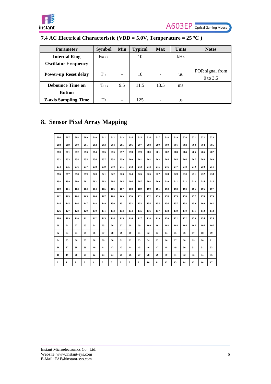

### <span id="page-7-0"></span>**7.4 AC Electrical Characteristic (VDD = 5.0V, Temperature = 25 ºC )**

| <b>Parameter</b>            | <b>Symbol</b>     | Min | <b>Typical</b> | <b>Max</b>               | <b>Units</b> | <b>Notes</b>                |
|-----------------------------|-------------------|-----|----------------|--------------------------|--------------|-----------------------------|
| <b>Internal Ring</b>        | Frosc             |     | 10             |                          | kHz          |                             |
| <b>Oscillator Frequency</b> |                   |     |                |                          |              |                             |
| <b>Power-up Reset delay</b> | TPU               | -   | 10             | $\overline{\phantom{0}}$ | <b>us</b>    | POR signal from<br>0 to 3.5 |
| <b>Debounce Time on</b>     | $T_{\mathrm{DB}}$ | 9.5 | 11.5           | 13.5                     | ms           |                             |
| <b>Button</b>               |                   |     |                |                          |              |                             |
| <b>Z-axis Sampling Time</b> | Tz                |     | 125            | -                        | <b>us</b>    |                             |

# <span id="page-7-1"></span>**8. Sensor Pixel Array Mapping**

| 306      | 307         | 308          | 309 | 310 | 311 | 312 | 313 | 314 | 315              | 316 | 317 | 318 | 319 | 320 | 321 | 322 | 323 |
|----------|-------------|--------------|-----|-----|-----|-----|-----|-----|------------------|-----|-----|-----|-----|-----|-----|-----|-----|
| 288      | 289         | 290          | 291 | 292 | 293 | 294 | 295 | 296 | 297              | 298 | 299 | 300 | 301 | 302 | 303 | 304 | 305 |
| 270      | 271         | 272          | 273 | 274 | 275 | 276 | 277 | 278 | 279              | 280 | 281 | 282 | 283 | 284 | 285 | 286 | 287 |
| 252      | 253         | 254          | 255 | 256 | 257 | 258 | 259 | 260 | 261              | 262 | 263 | 264 | 265 | 266 | 267 | 268 | 269 |
| 234      | 235         | 236          | 237 | 238 | 239 | 240 | 241 | 242 | 243              | 244 | 245 | 246 | 247 | 248 | 249 | 250 | 251 |
| 216      | 217         | 218          | 219 | 220 | 221 | 222 | 223 | 224 | 225              | 226 | 227 | 228 | 229 | 230 | 231 | 232 | 233 |
| 198      | 199         | 200          | 201 | 202 | 203 | 204 | 205 | 206 | 207              | 208 | 209 | 210 | 211 | 212 | 213 | 214 | 215 |
| 180      | 181         | 182          | 183 | 184 | 185 | 186 | 187 | 188 | 189              | 190 | 191 | 192 | 193 | 194 | 195 | 196 | 197 |
| 162      | 163         | 164          | 165 | 166 | 167 | 168 | 169 | 170 | 171              | 172 | 173 | 174 | 175 | 176 | 177 | 178 | 179 |
| 144      | 145         | 146          | 147 | 148 | 149 | 150 | 151 | 152 | 153              | 154 | 155 | 156 | 157 | 158 | 159 | 160 | 161 |
| 126      | 127         | 128          | 129 | 130 | 131 | 132 | 133 | 134 | 135              | 136 | 137 | 138 | 139 | 140 | 141 | 142 | 143 |
| 108      | 109         | 110          | 111 | 112 | 113 | 114 | 115 | 116 | 117              | 118 | 119 | 120 | 121 | 122 | 123 | 124 | 125 |
| 90       | 91          | 92           | 93  | 94  | 95  | 96  | 97  | 98  | 99               | 100 | 101 | 102 | 103 | 104 | 105 | 106 | 107 |
| 72       | 73          | 74           | 75  | 76  | 77  | 78  | 79  | 80  | 81               | 82  | 83  | 84  | 85  | 86  | 87  | 88  | 89  |
| 54       | 55          | 56           | 57  | 58  | 59  | 60  | 61  | 62  | 63               | 64  | 65  | 66  | 67  | 68  | 69  | 70  | 71  |
| 36       | 37          | 38           | 39  | 40  | 41  | 42  | 43  | 44  | 45               | 46  | 47  | 48  | 49  | 50  | 51  | 51  | 53  |
| 18       | 19          | 20           | 21  | 22  | 23  | 24  | 25  | 26  | 27               | 28  | 29  | 30  | 31  | 32  | 33  | 34  | 35  |
| $\bf{0}$ | $\mathbf 1$ | $\mathbf{2}$ | 3   | 4   | 5   | 6   | 7   | 8   | $\boldsymbol{9}$ | 10  | 11  | 12  | 13  | 14  | 15  | 16  | 17  |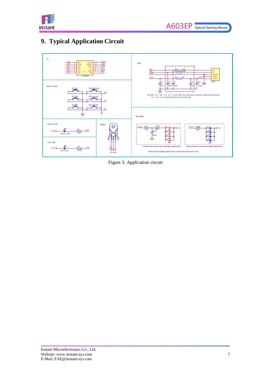

# <span id="page-8-0"></span>**9. Typical Application Circuit**



Figure 3. Application circuit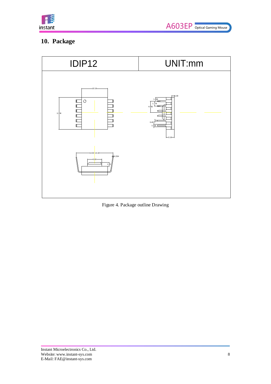

# <span id="page-9-0"></span>**10. Package**